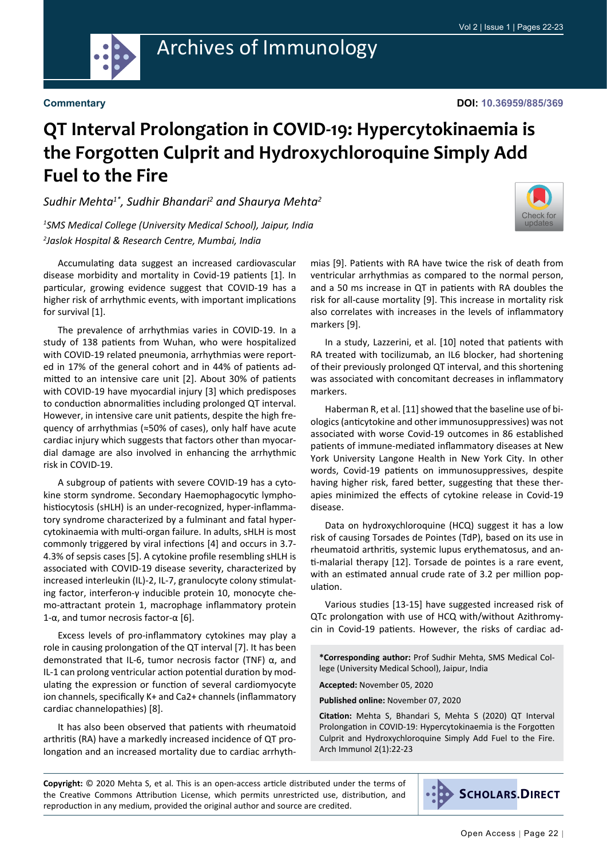

# Archives of Immunology

## **QT Interval Prolongation in COVID-19: Hypercytokinaemia is the Forgotten Culprit and Hydroxychloroquine Simply Add Fuel to the Fire**

*Sudhir Mehta1\*, Sudhir Bhandari2 and Shaurya Mehta2*

*1 SMS Medical College (University Medical School), Jaipur, India 2 Jaslok Hospital & Research Centre, Mumbai, India*

Accumulating data suggest an increased cardiovascular disease morbidity and mortality in Covid-19 patients [1]. In particular, growing evidence suggest that COVID-19 has a higher risk of arrhythmic events, with important implications for survival [1].

The prevalence of arrhythmias varies in COVID-19. In a study of 138 patients from Wuhan, who were hospitalized with COVID-19 related pneumonia, arrhythmias were reported in 17% of the general cohort and in 44% of patients admitted to an intensive care unit [2]. About 30% of patients with COVID-19 have myocardial injury [3] which predisposes to conduction abnormalities including prolonged QT interval. However, in intensive care unit patients, despite the high frequency of arrhythmias (≈50% of cases), only half have acute cardiac injury which suggests that factors other than myocardial damage are also involved in enhancing the arrhythmic risk in COVID-19.

A subgroup of patients with severe COVID-19 has a cytokine storm syndrome. Secondary Haemophagocytic lymphohistiocytosis (sHLH) is an under-recognized, hyper-inflammatory syndrome characterized by a fulminant and fatal hypercytokinaemia with multi-organ failure. In adults, sHLH is most commonly triggered by viral infections [4] and occurs in 3.7- 4.3% of sepsis cases [5]. A cytokine profile resembling sHLH is associated with COVID-19 disease severity, characterized by increased interleukin (IL)-2, IL-7, granulocyte colony stimulating factor, interferon-γ inducible protein 10, monocyte chemo-attractant protein 1, macrophage inflammatory protein 1-α, and tumor necrosis factor-α [6].

Excess levels of pro-inflammatory cytokines may play a role in causing prolongation of the QT interval [7]. It has been demonstrated that IL-6, tumor necrosis factor (TNF) α, and IL-1 can prolong ventricular action potential duration by modulating the expression or function of several cardiomyocyte ion channels, specifically K+ and Ca2+ channels (inflammatory cardiac channelopathies) [8].

It has also been observed that patients with rheumatoid arthritis (RA) have a markedly increased incidence of QT prolongation and an increased mortality due to cardiac arrhyth-

mias [9]. Patients with RA have twice the risk of death from ventricular arrhythmias as compared to the normal person, and a 50 ms increase in QT in patients with RA doubles the risk for all-cause mortality [9]. This increase in mortality risk also correlates with increases in the levels of inflammatory markers [9].

In a study, Lazzerini, et al. [10] noted that patients with RA treated with tocilizumab, an IL6 blocker, had shortening of their previously prolonged QT interval, and this shortening was associated with concomitant decreases in inflammatory markers.

Haberman R, et al. [11] showed that the baseline use of biologics (anticytokine and other immunosuppressives) was not associated with worse Covid-19 outcomes in 86 established patients of immune-mediated inflammatory diseases at New York University Langone Health in New York City. In other words, Covid-19 patients on immunosuppressives, despite having higher risk, fared better, suggesting that these therapies minimized the effects of cytokine release in Covid-19 disease.

Data on hydroxychloroquine (HCQ) suggest it has a low risk of causing Torsades de Pointes (TdP), based on its use in rheumatoid arthritis, systemic lupus erythematosus, and anti-malarial therapy [12]. Torsade de pointes is a rare event, with an estimated annual crude rate of 3.2 per million population.

Various studies [13-15] have suggested increased risk of QTc prolongation with use of HCQ with/without Azithromycin in Covid-19 patients. However, the risks of cardiac ad-

**\*Corresponding author:** Prof Sudhir Mehta, SMS Medical College (University Medical School), Jaipur, India

**Accepted:** November 05, 2020

**Published online:** November 07, 2020

**Citation:** Mehta S, Bhandari S, Mehta S (2020) QT Interval Prolongation in COVID-19: Hypercytokinaemia is the Forgotten Culprit and Hydroxychloroquine Simply Add Fuel to the Fire. Arch Immunol 2(1):22-23

**Copyright:** © 2020 Mehta S, et al. This is an open-access article distributed under the terms of the Creative Commons Attribution License, which permits unrestricted use, distribution, and reproduction in any medium, provided the original author and source are credited.